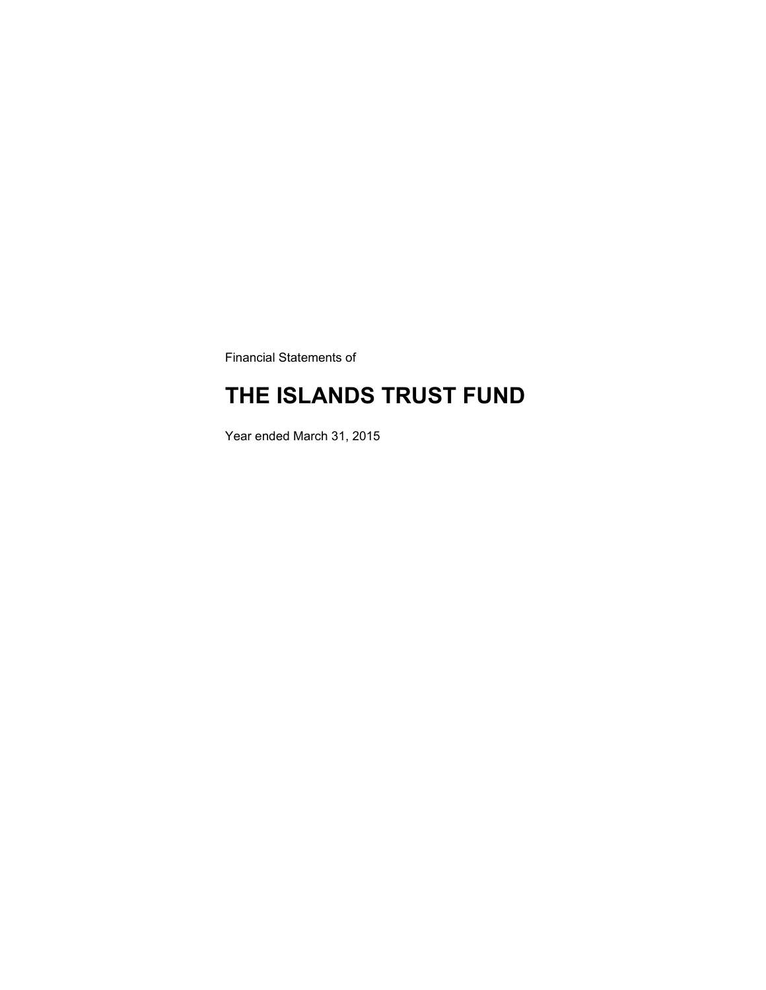Financial Statements of

### **THE ISLANDS TRUST FUND**

Year ended March 31, 2015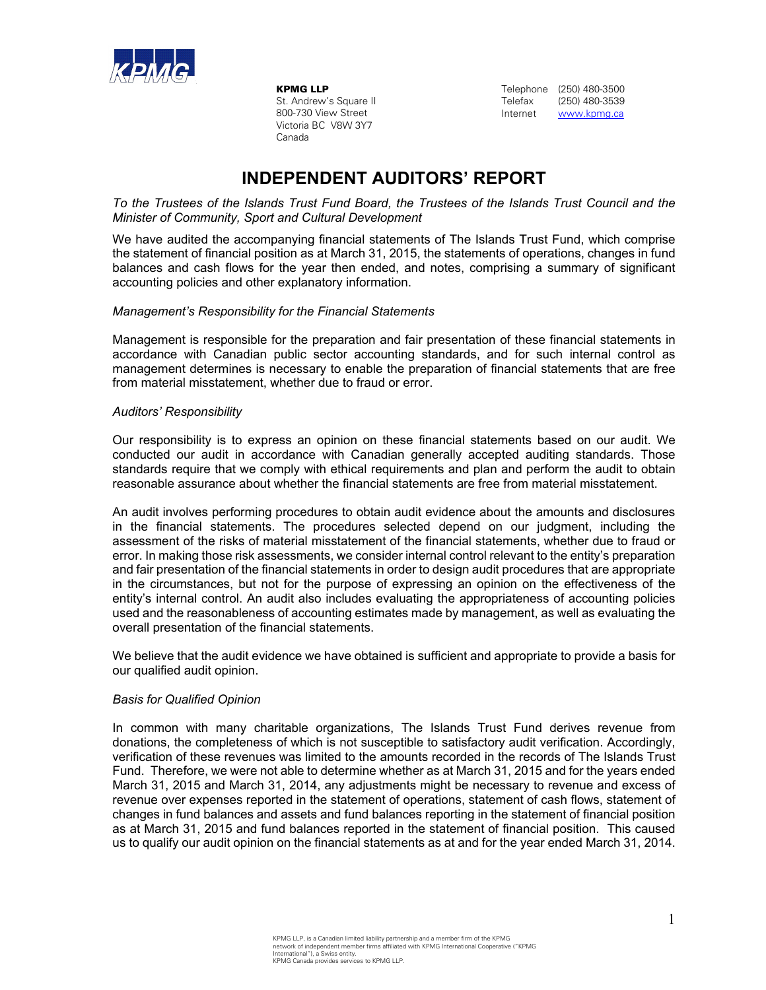

KPMG LLP St. Andrew's Square II 800-730 View Street Victoria BC V8W 3Y7 Canada

Telephone (250) 480-3500 Telefax (250) 480-3539 Internet www.kpmg.ca

### **INDEPENDENT AUDITORS' REPORT**

*To the Trustees of the Islands Trust Fund Board, the Trustees of the Islands Trust Council and the Minister of Community, Sport and Cultural Development* 

We have audited the accompanying financial statements of The Islands Trust Fund, which comprise the statement of financial position as at March 31, 2015, the statements of operations, changes in fund balances and cash flows for the year then ended, and notes, comprising a summary of significant accounting policies and other explanatory information.

#### *Management's Responsibility for the Financial Statements*

Management is responsible for the preparation and fair presentation of these financial statements in accordance with Canadian public sector accounting standards, and for such internal control as management determines is necessary to enable the preparation of financial statements that are free from material misstatement, whether due to fraud or error.

#### *Auditors' Responsibility*

Our responsibility is to express an opinion on these financial statements based on our audit. We conducted our audit in accordance with Canadian generally accepted auditing standards. Those standards require that we comply with ethical requirements and plan and perform the audit to obtain reasonable assurance about whether the financial statements are free from material misstatement.

An audit involves performing procedures to obtain audit evidence about the amounts and disclosures in the financial statements. The procedures selected depend on our judgment, including the assessment of the risks of material misstatement of the financial statements, whether due to fraud or error. In making those risk assessments, we consider internal control relevant to the entity's preparation and fair presentation of the financial statements in order to design audit procedures that are appropriate in the circumstances, but not for the purpose of expressing an opinion on the effectiveness of the entity's internal control. An audit also includes evaluating the appropriateness of accounting policies used and the reasonableness of accounting estimates made by management, as well as evaluating the overall presentation of the financial statements.

We believe that the audit evidence we have obtained is sufficient and appropriate to provide a basis for our qualified audit opinion.

#### *Basis for Qualified Opinion*

In common with many charitable organizations, The Islands Trust Fund derives revenue from donations, the completeness of which is not susceptible to satisfactory audit verification. Accordingly, verification of these revenues was limited to the amounts recorded in the records of The Islands Trust Fund. Therefore, we were not able to determine whether as at March 31, 2015 and for the years ended March 31, 2015 and March 31, 2014, any adjustments might be necessary to revenue and excess of revenue over expenses reported in the statement of operations, statement of cash flows, statement of changes in fund balances and assets and fund balances reporting in the statement of financial position as at March 31, 2015 and fund balances reported in the statement of financial position. This caused us to qualify our audit opinion on the financial statements as at and for the year ended March 31, 2014.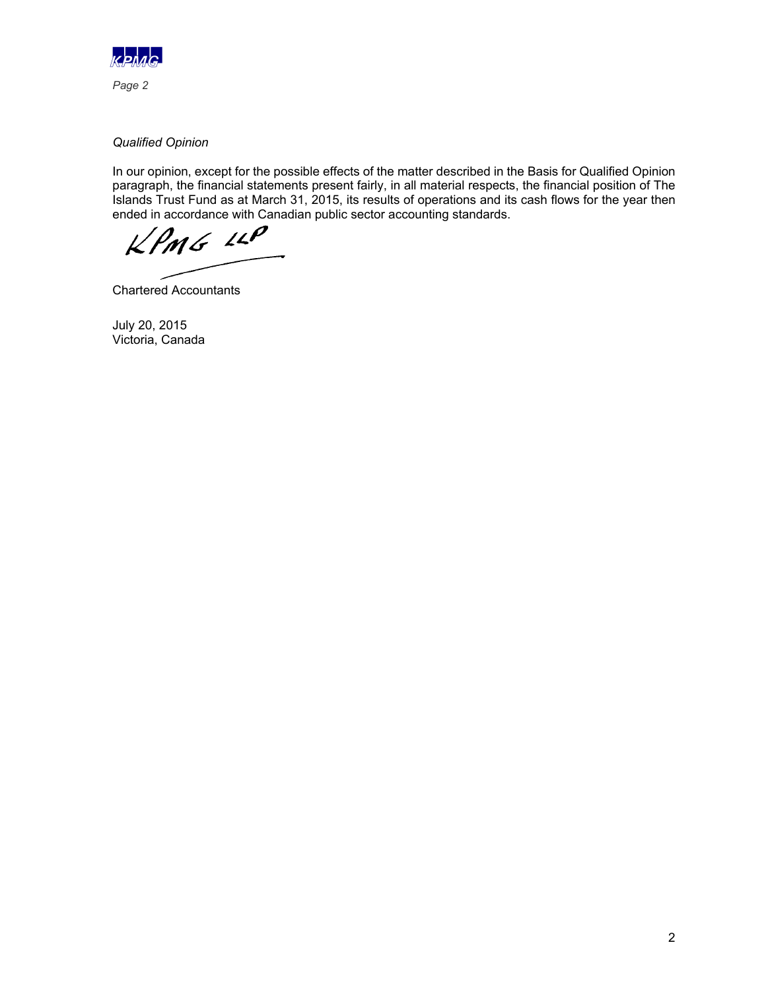

*Qualified Opinion* 

In our opinion, except for the possible effects of the matter described in the Basis for Qualified Opinion paragraph, the financial statements present fairly, in all material respects, the financial position of The Islands Trust Fund as at March 31, 2015, its results of operations and its cash flows for the year then ended in accordance with Canadian public sector accounting standards.

 $KPMG$  110

Chartered Accountants

July 20, 2015 Victoria, Canada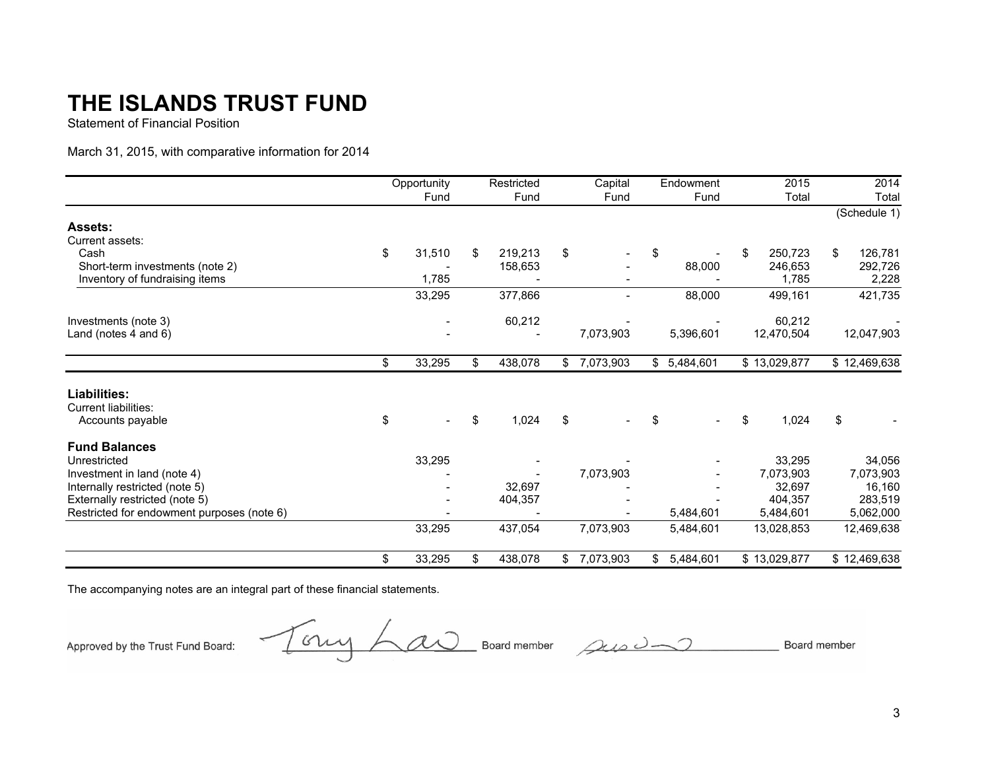Statement of Financial Position

March 31, 2015, with comparative information for 2014

|                                            | Opportunity  | Restricted    | Capital                  | Endowment       | 2015          | 2014          |
|--------------------------------------------|--------------|---------------|--------------------------|-----------------|---------------|---------------|
|                                            | Fund         | Fund          | Fund                     | Fund            | Total         | Total         |
|                                            |              |               |                          |                 |               | (Schedule 1)  |
| <b>Assets:</b>                             |              |               |                          |                 |               |               |
| Current assets:                            |              |               |                          |                 |               |               |
| Cash                                       | \$<br>31,510 | \$<br>219,213 | \$                       | \$              | \$<br>250,723 | \$<br>126,781 |
| Short-term investments (note 2)            |              | 158,653       |                          | 88,000          | 246,653       | 292,726       |
| Inventory of fundraising items             | 1,785        |               |                          |                 | 1,785         | 2,228         |
|                                            | 33,295       | 377,866       | $\overline{\phantom{0}}$ | 88,000          | 499,161       | 421,735       |
| Investments (note 3)                       |              | 60,212        |                          |                 | 60,212        |               |
| Land (notes 4 and 6)                       |              |               | 7,073,903                | 5,396,601       | 12,470,504    | 12,047,903    |
|                                            | \$<br>33,295 | \$<br>438,078 | \$<br>7,073,903          | \$5,484,601     | \$13,029,877  | \$12,469,638  |
| <b>Liabilities:</b>                        |              |               |                          |                 |               |               |
| <b>Current liabilities:</b>                |              |               |                          |                 |               |               |
| Accounts payable                           | \$           | \$<br>1,024   | \$                       | \$              | \$<br>1,024   | \$            |
| <b>Fund Balances</b>                       |              |               |                          |                 |               |               |
| Unrestricted                               | 33,295       |               |                          |                 | 33,295        | 34,056        |
| Investment in land (note 4)                |              |               | 7,073,903                |                 | 7,073,903     | 7,073,903     |
| Internally restricted (note 5)             |              | 32,697        |                          |                 | 32,697        | 16,160        |
| Externally restricted (note 5)             |              | 404,357       |                          |                 | 404,357       | 283,519       |
| Restricted for endowment purposes (note 6) |              |               |                          | 5,484,601       | 5,484,601     | 5,062,000     |
|                                            | 33,295       | 437,054       | 7,073,903                | 5,484,601       | 13,028,853    | 12,469,638    |
|                                            | \$<br>33,295 | \$<br>438,078 | \$<br>7,073,903          | \$<br>5,484,601 | \$13,029,877  | \$12,469,638  |

The accompanying notes are an integral part of these financial statements.

Approved by the Trust Fund Board:

Tony Law Board member sus Un

Board member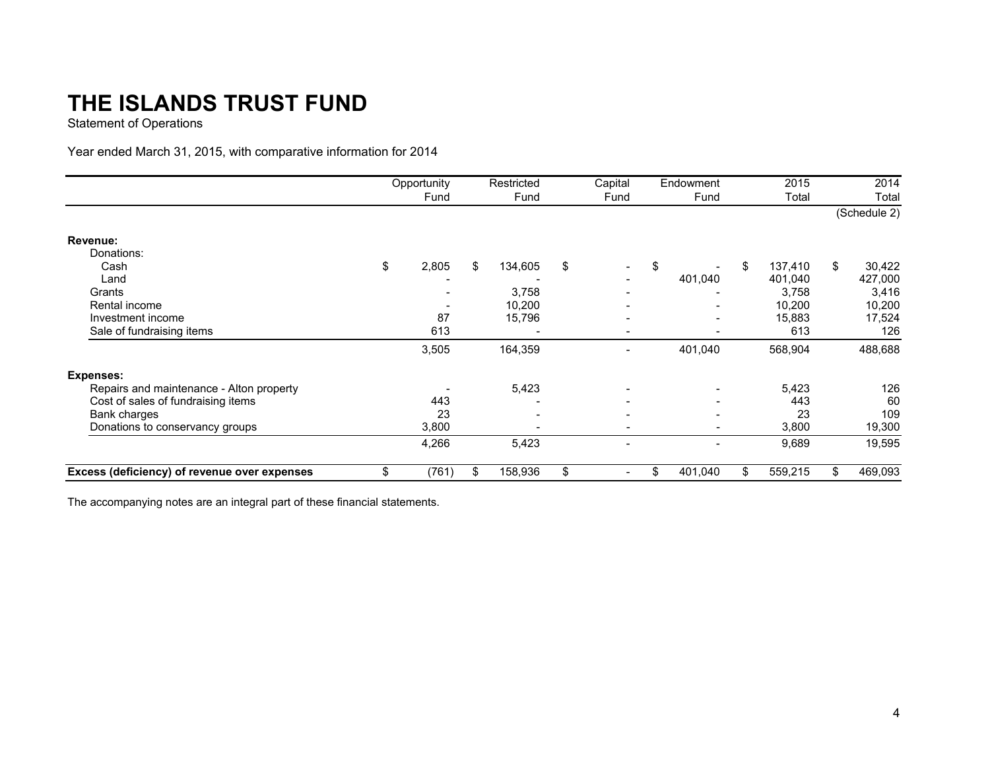Statement of Operations

### Year ended March 31, 2015, with comparative information for 2014

|                                              | Opportunity | Restricted    | Capital                  | Endowment                |     | 2015    |    | 2014         |
|----------------------------------------------|-------------|---------------|--------------------------|--------------------------|-----|---------|----|--------------|
|                                              | Fund        | Fund          | Fund                     | Fund                     |     | Total   |    | Total        |
|                                              |             |               |                          |                          |     |         |    | (Schedule 2) |
| Revenue:                                     |             |               |                          |                          |     |         |    |              |
| Donations:                                   |             |               |                          |                          |     |         |    |              |
| Cash                                         | \$<br>2,805 | \$<br>134,605 | \$                       | \$                       | \$  | 137,410 | S. | 30,422       |
| Land                                         |             |               | $\overline{\phantom{0}}$ | 401,040                  |     | 401,040 |    | 427,000      |
| Grants                                       |             | 3,758         | $\overline{\phantom{0}}$ |                          |     | 3,758   |    | 3,416        |
| Rental income                                |             | 10,200        |                          |                          |     | 10,200  |    | 10,200       |
| Investment income                            | 87          | 15,796        | $\overline{\phantom{a}}$ | $\overline{\phantom{a}}$ |     | 15,883  |    | 17,524       |
| Sale of fundraising items                    | 613         |               | $\overline{\phantom{0}}$ | $\overline{\phantom{0}}$ |     | 613     |    | 126          |
|                                              | 3,505       | 164,359       | $\overline{\phantom{a}}$ | 401,040                  |     | 568,904 |    | 488,688      |
| <b>Expenses:</b>                             |             |               |                          |                          |     |         |    |              |
| Repairs and maintenance - Alton property     |             | 5,423         | -                        |                          |     | 5,423   |    | 126          |
| Cost of sales of fundraising items           | 443         |               |                          |                          |     | 443     |    | 60           |
| Bank charges                                 | 23          |               |                          |                          |     | 23      |    | 109          |
| Donations to conservancy groups              | 3,800       |               | $\overline{\phantom{a}}$ |                          |     | 3,800   |    | 19,300       |
|                                              | 4,266       | 5,423         | $\overline{\phantom{a}}$ | $\overline{\phantom{a}}$ |     | 9,689   |    | 19,595       |
| Excess (deficiency) of revenue over expenses | \$<br>(761) | \$<br>158,936 | \$                       | \$<br>401,040            | \$. | 559,215 |    | 469,093      |

The accompanying notes are an integral part of these financial statements.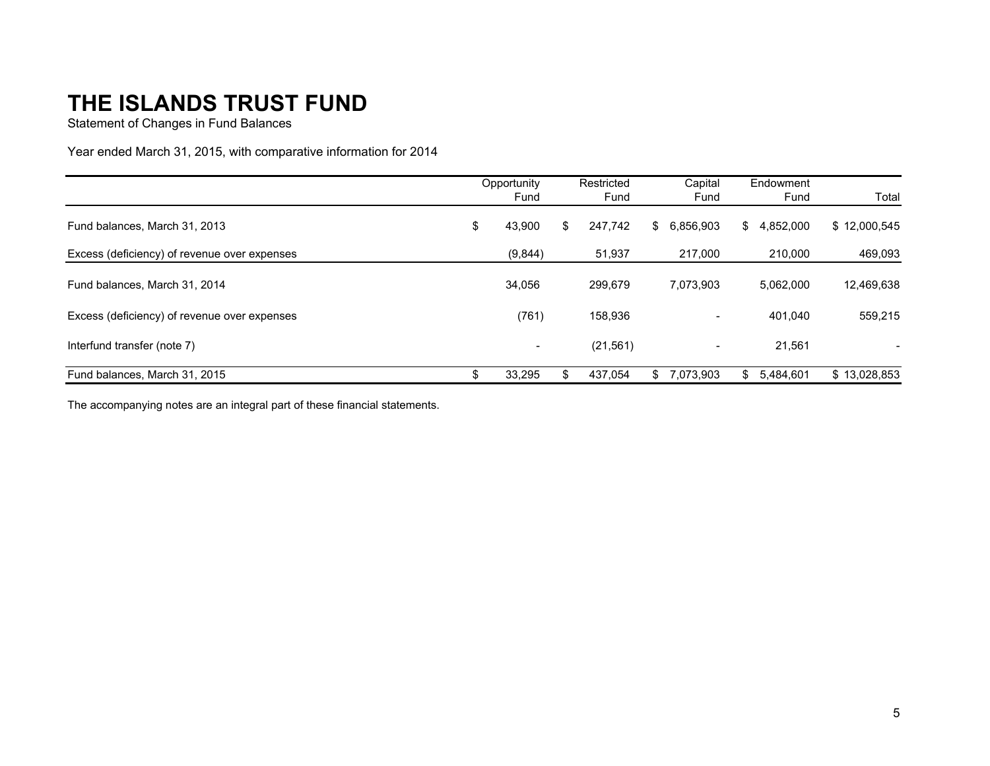Statement of Changes in Fund Balances

Year ended March 31, 2015, with comparative information for 2014

|                                              | Opportunity |                          | Restricted |           | Capital |                          | Endowment |           |              |
|----------------------------------------------|-------------|--------------------------|------------|-----------|---------|--------------------------|-----------|-----------|--------------|
|                                              |             | Fund                     |            | Fund      |         | Fund                     |           | Fund      | Total        |
| Fund balances, March 31, 2013                | \$          | 43,900                   | \$         | 247.742   | \$.     | 6.856.903                | \$        | 4,852,000 | \$12,000,545 |
| Excess (deficiency) of revenue over expenses |             | (9,844)                  |            | 51,937    |         | 217,000                  |           | 210.000   | 469,093      |
| Fund balances, March 31, 2014                |             | 34,056                   |            | 299,679   |         | 7,073,903                |           | 5,062,000 | 12,469,638   |
| Excess (deficiency) of revenue over expenses |             | (761)                    |            | 158,936   |         | $\overline{\phantom{a}}$ |           | 401.040   | 559,215      |
| Interfund transfer (note 7)                  |             | $\overline{\phantom{a}}$ |            | (21, 561) |         | $\overline{\phantom{0}}$ |           | 21,561    |              |
| Fund balances. March 31, 2015                | \$          | 33.295                   | \$         | 437.054   | \$.     | 7.073.903                | \$.       | 5.484.601 | \$13.028.853 |

The accompanying notes are an integral part of these financial statements.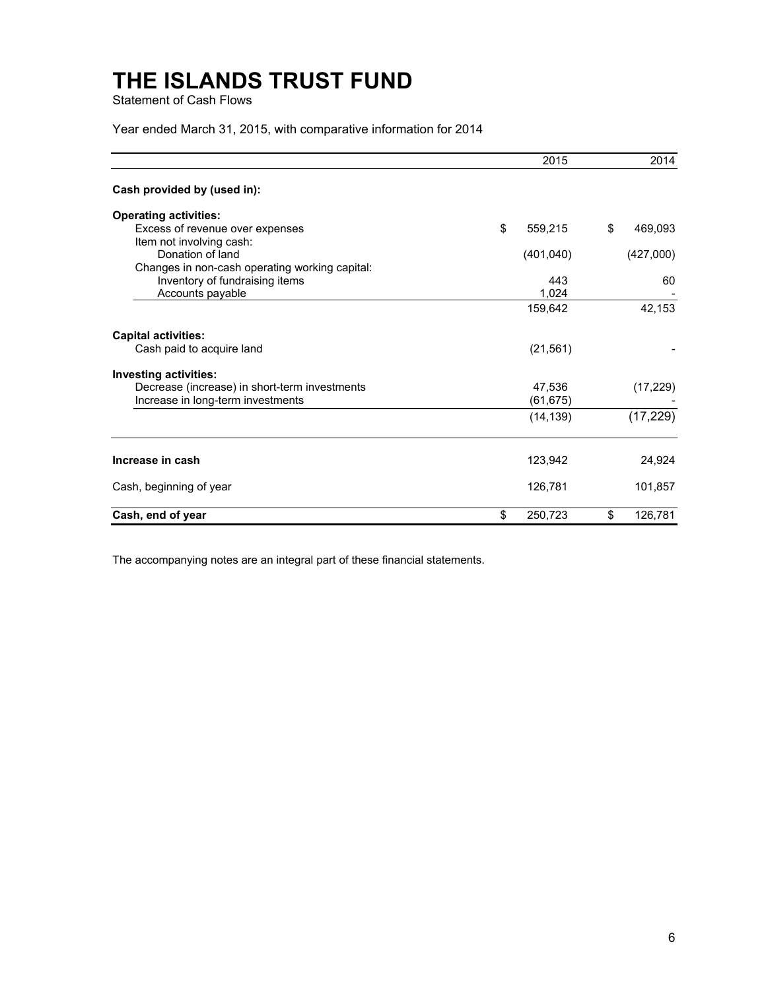Statement of Cash Flows

Year ended March 31, 2015, with comparative information for 2014

|                                                    | 2015          | 2014          |
|----------------------------------------------------|---------------|---------------|
| Cash provided by (used in):                        |               |               |
| <b>Operating activities:</b>                       |               |               |
| Excess of revenue over expenses                    | \$<br>559,215 | \$<br>469,093 |
| Item not involving cash:                           |               |               |
| Donation of land                                   | (401, 040)    | (427,000)     |
| Changes in non-cash operating working capital:     |               |               |
| Inventory of fundraising items<br>Accounts payable | 443<br>1,024  | 60            |
|                                                    | 159,642       | 42,153        |
|                                                    |               |               |
| <b>Capital activities:</b>                         |               |               |
| Cash paid to acquire land                          | (21, 561)     |               |
| <b>Investing activities:</b>                       |               |               |
| Decrease (increase) in short-term investments      | 47,536        | (17, 229)     |
| Increase in long-term investments                  | (61, 675)     |               |
|                                                    | (14, 139)     | (17, 229)     |
|                                                    |               |               |
| Increase in cash                                   | 123,942       | 24,924        |
| Cash, beginning of year                            | 126,781       | 101,857       |
| Cash, end of year                                  | \$<br>250,723 | \$<br>126,781 |

The accompanying notes are an integral part of these financial statements.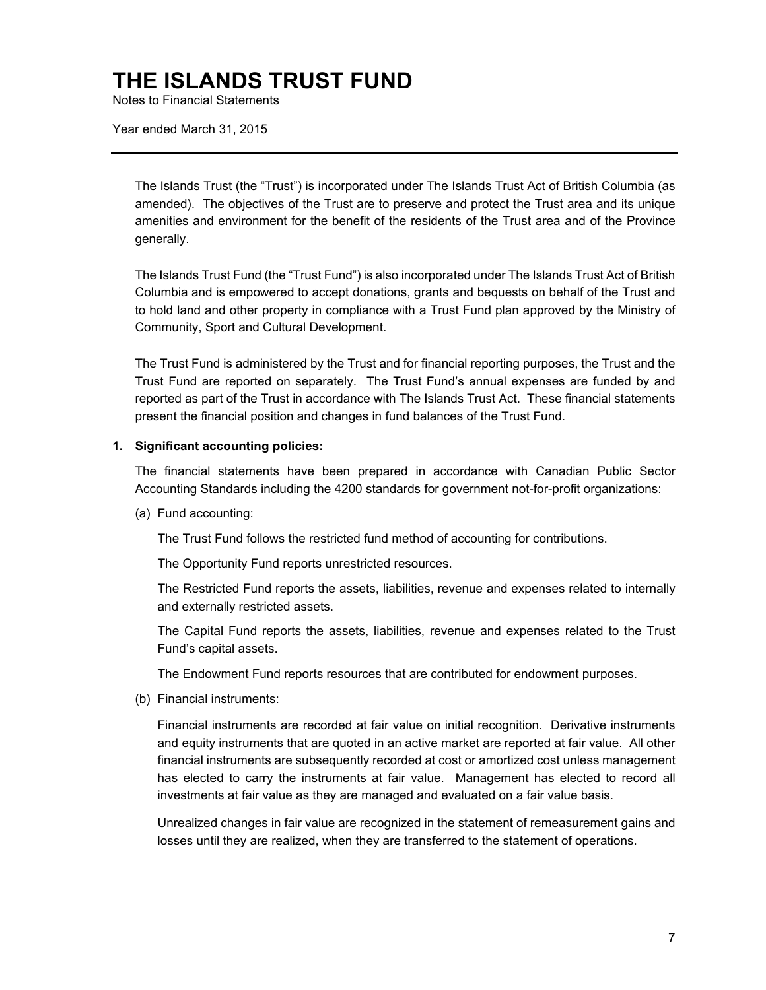Notes to Financial Statements

Year ended March 31, 2015

The Islands Trust (the "Trust") is incorporated under The Islands Trust Act of British Columbia (as amended). The objectives of the Trust are to preserve and protect the Trust area and its unique amenities and environment for the benefit of the residents of the Trust area and of the Province generally.

The Islands Trust Fund (the "Trust Fund") is also incorporated under The Islands Trust Act of British Columbia and is empowered to accept donations, grants and bequests on behalf of the Trust and to hold land and other property in compliance with a Trust Fund plan approved by the Ministry of Community, Sport and Cultural Development.

The Trust Fund is administered by the Trust and for financial reporting purposes, the Trust and the Trust Fund are reported on separately. The Trust Fund's annual expenses are funded by and reported as part of the Trust in accordance with The Islands Trust Act. These financial statements present the financial position and changes in fund balances of the Trust Fund.

#### **1. Significant accounting policies:**

The financial statements have been prepared in accordance with Canadian Public Sector Accounting Standards including the 4200 standards for government not-for-profit organizations:

(a) Fund accounting:

The Trust Fund follows the restricted fund method of accounting for contributions.

The Opportunity Fund reports unrestricted resources.

The Restricted Fund reports the assets, liabilities, revenue and expenses related to internally and externally restricted assets.

The Capital Fund reports the assets, liabilities, revenue and expenses related to the Trust Fund's capital assets.

The Endowment Fund reports resources that are contributed for endowment purposes.

(b) Financial instruments:

Financial instruments are recorded at fair value on initial recognition. Derivative instruments and equity instruments that are quoted in an active market are reported at fair value. All other financial instruments are subsequently recorded at cost or amortized cost unless management has elected to carry the instruments at fair value. Management has elected to record all investments at fair value as they are managed and evaluated on a fair value basis.

Unrealized changes in fair value are recognized in the statement of remeasurement gains and losses until they are realized, when they are transferred to the statement of operations.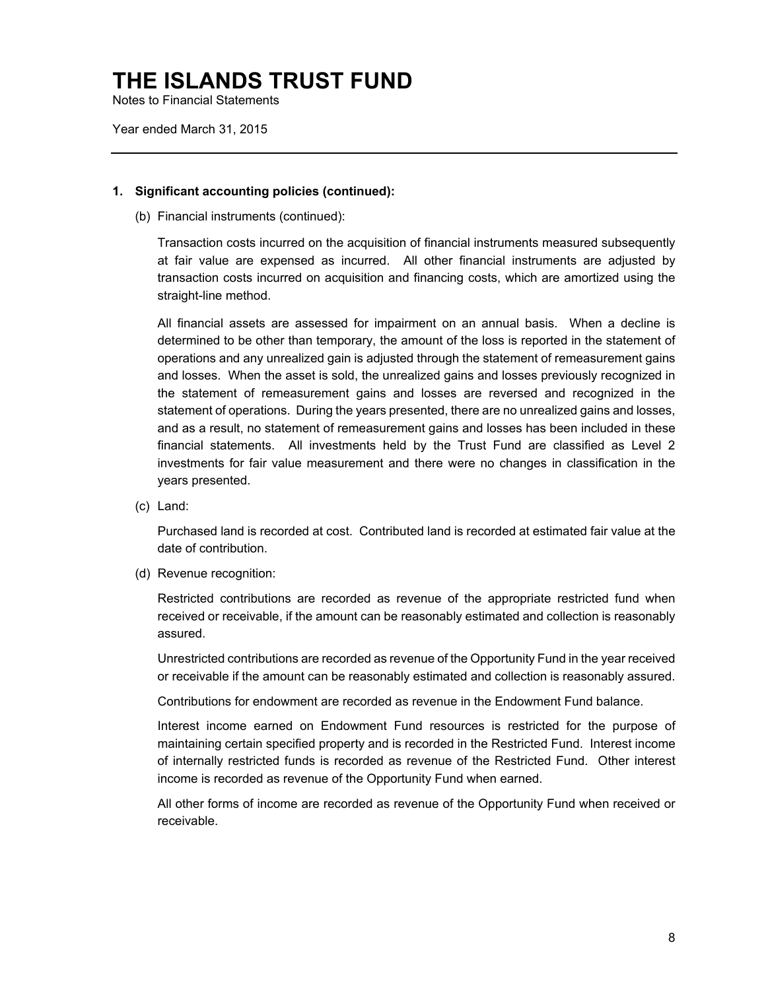Notes to Financial Statements

Year ended March 31, 2015

#### **1. Significant accounting policies (continued):**

(b) Financial instruments (continued):

Transaction costs incurred on the acquisition of financial instruments measured subsequently at fair value are expensed as incurred. All other financial instruments are adjusted by transaction costs incurred on acquisition and financing costs, which are amortized using the straight-line method.

All financial assets are assessed for impairment on an annual basis. When a decline is determined to be other than temporary, the amount of the loss is reported in the statement of operations and any unrealized gain is adjusted through the statement of remeasurement gains and losses. When the asset is sold, the unrealized gains and losses previously recognized in the statement of remeasurement gains and losses are reversed and recognized in the statement of operations. During the years presented, there are no unrealized gains and losses, and as a result, no statement of remeasurement gains and losses has been included in these financial statements. All investments held by the Trust Fund are classified as Level 2 investments for fair value measurement and there were no changes in classification in the years presented.

(c) Land:

Purchased land is recorded at cost. Contributed land is recorded at estimated fair value at the date of contribution.

(d) Revenue recognition:

Restricted contributions are recorded as revenue of the appropriate restricted fund when received or receivable, if the amount can be reasonably estimated and collection is reasonably assured.

Unrestricted contributions are recorded as revenue of the Opportunity Fund in the year received or receivable if the amount can be reasonably estimated and collection is reasonably assured.

Contributions for endowment are recorded as revenue in the Endowment Fund balance.

Interest income earned on Endowment Fund resources is restricted for the purpose of maintaining certain specified property and is recorded in the Restricted Fund. Interest income of internally restricted funds is recorded as revenue of the Restricted Fund. Other interest income is recorded as revenue of the Opportunity Fund when earned.

All other forms of income are recorded as revenue of the Opportunity Fund when received or receivable.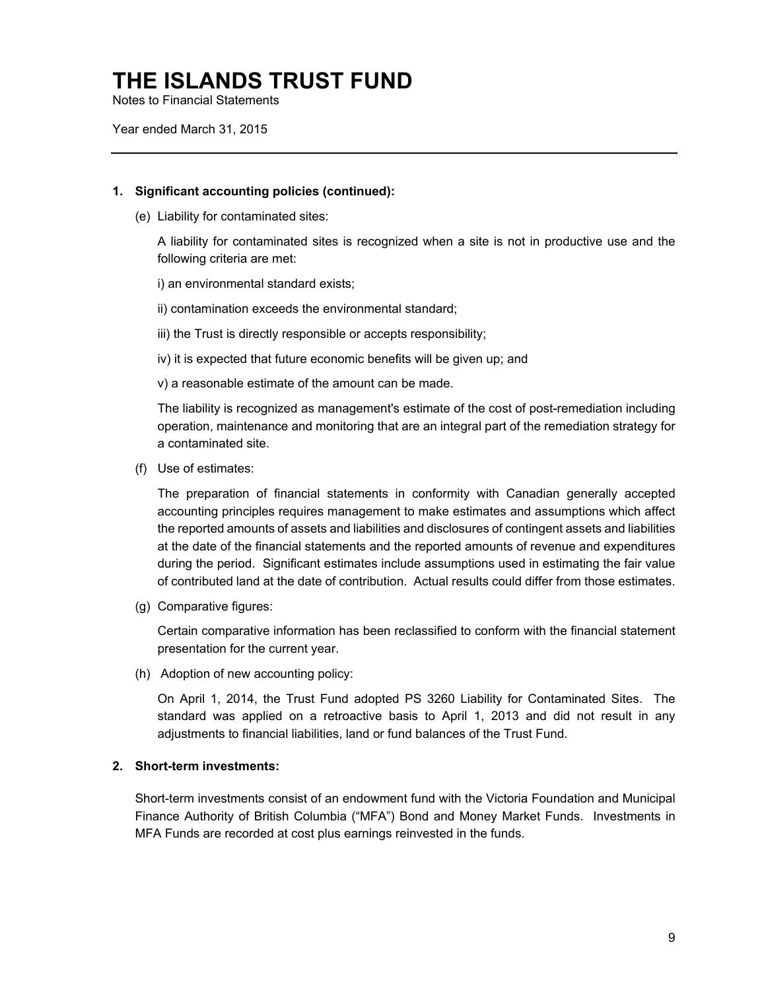Notes to Financial Statements

Year ended March 31, 2015

#### **1. Significant accounting policies (continued):**

(e) Liability for contaminated sites:

A liability for contaminated sites is recognized when a site is not in productive use and the following criteria are met:

i) an environmental standard exists;

ii) contamination exceeds the environmental standard;

iii) the Trust is directly responsible or accepts responsibility;

iv) it is expected that future economic benefits will be given up; and

v) a reasonable estimate of the amount can be made.

The liability is recognized as management's estimate of the cost of post-remediation including operation, maintenance and monitoring that are an integral part of the remediation strategy for a contaminated site.

(f) Use of estimates:

The preparation of financial statements in conformity with Canadian generally accepted accounting principles requires management to make estimates and assumptions which affect the reported amounts of assets and liabilities and disclosures of contingent assets and liabilities at the date of the financial statements and the reported amounts of revenue and expenditures during the period. Significant estimates include assumptions used in estimating the fair value of contributed land at the date of contribution. Actual results could differ from those estimates.

(g) Comparative figures:

Certain comparative information has been reclassified to conform with the financial statement presentation for the current year.

(h) Adoption of new accounting policy:

On April 1, 2014, the Trust Fund adopted PS 3260 Liability for Contaminated Sites. The standard was applied on a retroactive basis to April 1, 2013 and did not result in any adjustments to financial liabilities, land or fund balances of the Trust Fund.

### **2. Short-term investments:**

Short-term investments consist of an endowment fund with the Victoria Foundation and Municipal Finance Authority of British Columbia ("MFA") Bond and Money Market Funds. Investments in MFA Funds are recorded at cost plus earnings reinvested in the funds.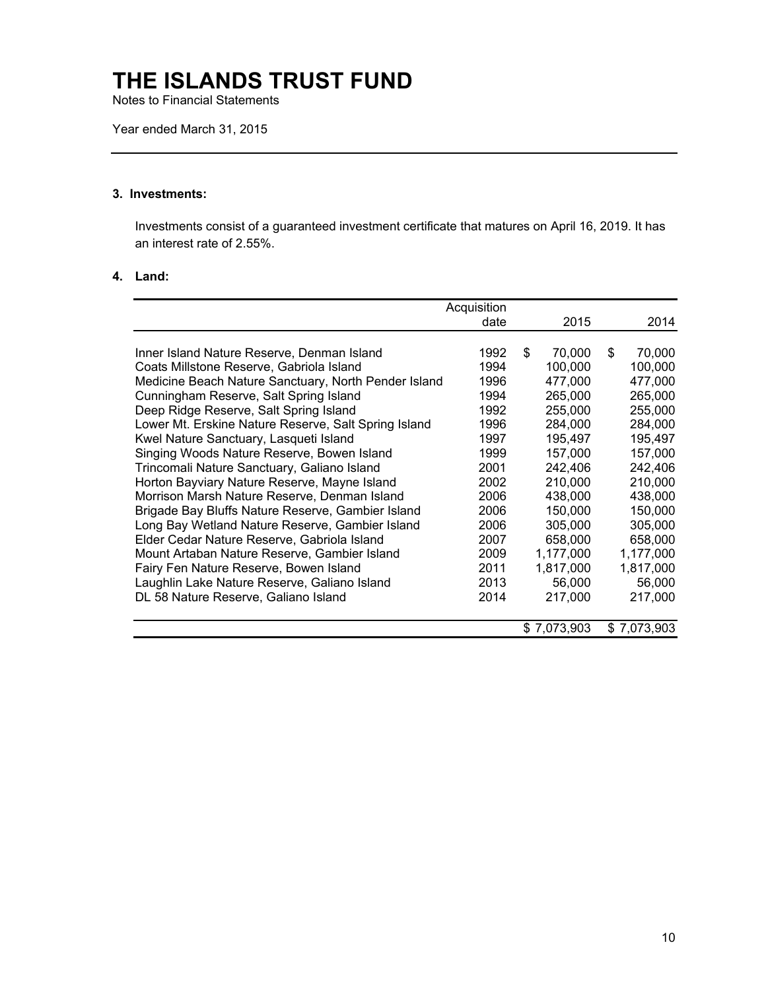Notes to Financial Statements

Year ended March 31, 2015

### **3. Investments:**

Investments consist of a guaranteed investment certificate that matures on April 16, 2019. It has an interest rate of 2.55%.

#### **4. Land:**

|                                                      | Acquisition |              |              |
|------------------------------------------------------|-------------|--------------|--------------|
|                                                      | date        | 2015         | 2014         |
|                                                      |             |              |              |
| Inner Island Nature Reserve, Denman Island           | 1992        | \$<br>70,000 | \$<br>70,000 |
| Coats Millstone Reserve, Gabriola Island             | 1994        | 100,000      | 100,000      |
| Medicine Beach Nature Sanctuary, North Pender Island | 1996        | 477,000      | 477,000      |
| Cunningham Reserve, Salt Spring Island               | 1994        | 265,000      | 265,000      |
| Deep Ridge Reserve, Salt Spring Island               | 1992        | 255,000      | 255,000      |
| Lower Mt. Erskine Nature Reserve, Salt Spring Island | 1996        | 284,000      | 284,000      |
| Kwel Nature Sanctuary, Lasqueti Island               | 1997        | 195,497      | 195,497      |
| Singing Woods Nature Reserve, Bowen Island           | 1999        | 157,000      | 157,000      |
| Trincomali Nature Sanctuary, Galiano Island          | 2001        | 242,406      | 242,406      |
| Horton Bayviary Nature Reserve, Mayne Island         | 2002        | 210,000      | 210,000      |
| Morrison Marsh Nature Reserve, Denman Island         | 2006        | 438,000      | 438,000      |
| Brigade Bay Bluffs Nature Reserve, Gambier Island    | 2006        | 150,000      | 150,000      |
| Long Bay Wetland Nature Reserve, Gambier Island      | 2006        | 305,000      | 305,000      |
| Elder Cedar Nature Reserve, Gabriola Island          | 2007        | 658,000      | 658,000      |
| Mount Artaban Nature Reserve, Gambier Island         | 2009        | 1,177,000    | 1,177,000    |
| Fairy Fen Nature Reserve, Bowen Island               | 2011        | 1,817,000    | 1,817,000    |
| Laughlin Lake Nature Reserve, Galiano Island         | 2013        | 56,000       | 56,000       |
| DL 58 Nature Reserve, Galiano Island                 | 2014        | 217,000      | 217,000      |
|                                                      |             |              |              |
|                                                      |             | \$7,073,903  | \$7,073,903  |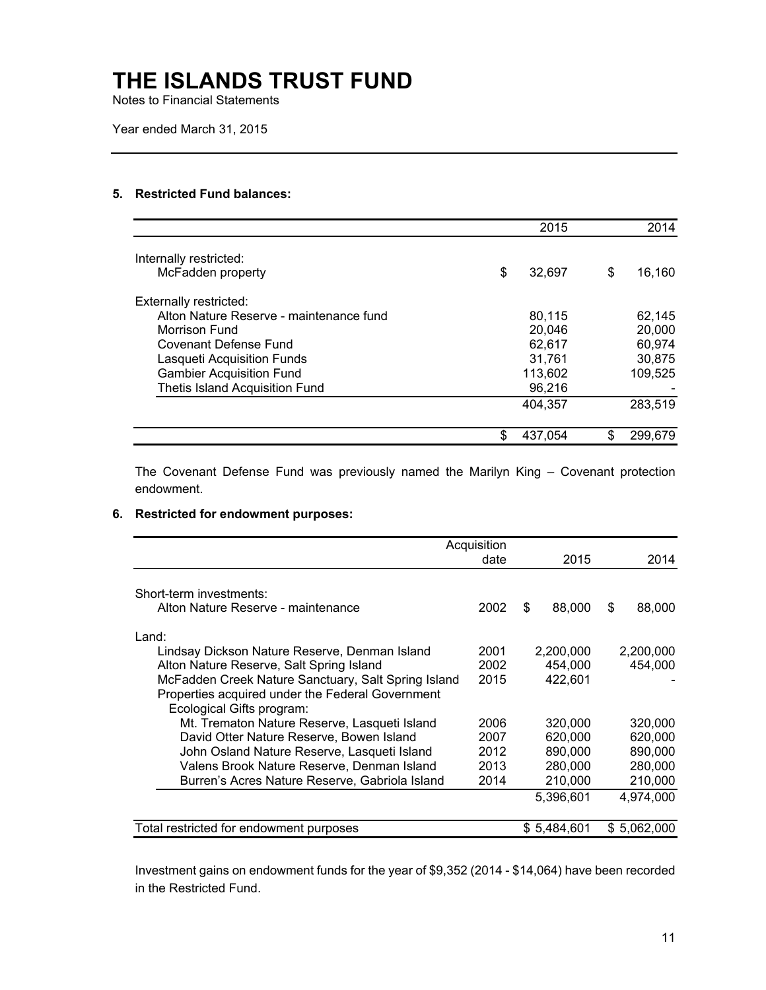Notes to Financial Statements

Year ended March 31, 2015

### **5. Restricted Fund balances:**

|                                         | 2015          | 2014          |
|-----------------------------------------|---------------|---------------|
| Internally restricted:                  |               |               |
| McFadden property                       | \$<br>32.697  | \$<br>16,160  |
| <b>Externally restricted:</b>           |               |               |
| Alton Nature Reserve - maintenance fund | 80,115        | 62,145        |
| Morrison Fund                           | 20,046        | 20,000        |
| Covenant Defense Fund                   | 62,617        | 60,974        |
| Lasqueti Acquisition Funds              | 31.761        | 30,875        |
| <b>Gambier Acquisition Fund</b>         | 113,602       | 109,525       |
| <b>Thetis Island Acquisition Fund</b>   | 96,216        |               |
|                                         | 404,357       | 283,519       |
|                                         | \$<br>437.054 | \$<br>299.679 |

The Covenant Defense Fund was previously named the Marilyn King – Covenant protection endowment.

#### **6. Restricted for endowment purposes:**

|                                                                               | Acquisition |              |              |
|-------------------------------------------------------------------------------|-------------|--------------|--------------|
|                                                                               | date        | 2015         | 2014         |
| Short-term investments:                                                       |             |              |              |
| Alton Nature Reserve - maintenance                                            | 2002        | 88,000<br>\$ | 88,000<br>\$ |
| Land:                                                                         |             |              |              |
| Lindsay Dickson Nature Reserve, Denman Island                                 | 2001        | 2,200,000    | 2,200,000    |
| Alton Nature Reserve, Salt Spring Island                                      | 2002        | 454.000      | 454,000      |
| McFadden Creek Nature Sanctuary, Salt Spring Island                           | 2015        | 422.601      |              |
| Properties acquired under the Federal Government<br>Ecological Gifts program: |             |              |              |
| Mt. Trematon Nature Reserve, Lasqueti Island                                  | 2006        | 320,000      | 320,000      |
| David Otter Nature Reserve, Bowen Island                                      | 2007        | 620,000      | 620,000      |
| John Osland Nature Reserve, Lasqueti Island                                   | 2012        | 890,000      | 890,000      |
| Valens Brook Nature Reserve, Denman Island                                    | 2013        | 280,000      | 280,000      |
| Burren's Acres Nature Reserve, Gabriola Island                                | 2014        | 210,000      | 210,000      |
|                                                                               |             | 5,396,601    | 4.974.000    |
| Total restricted for endowment purposes                                       |             | \$5,484,601  | \$5,062,000  |

Investment gains on endowment funds for the year of \$9,352 (2014 - \$14,064) have been recorded in the Restricted Fund.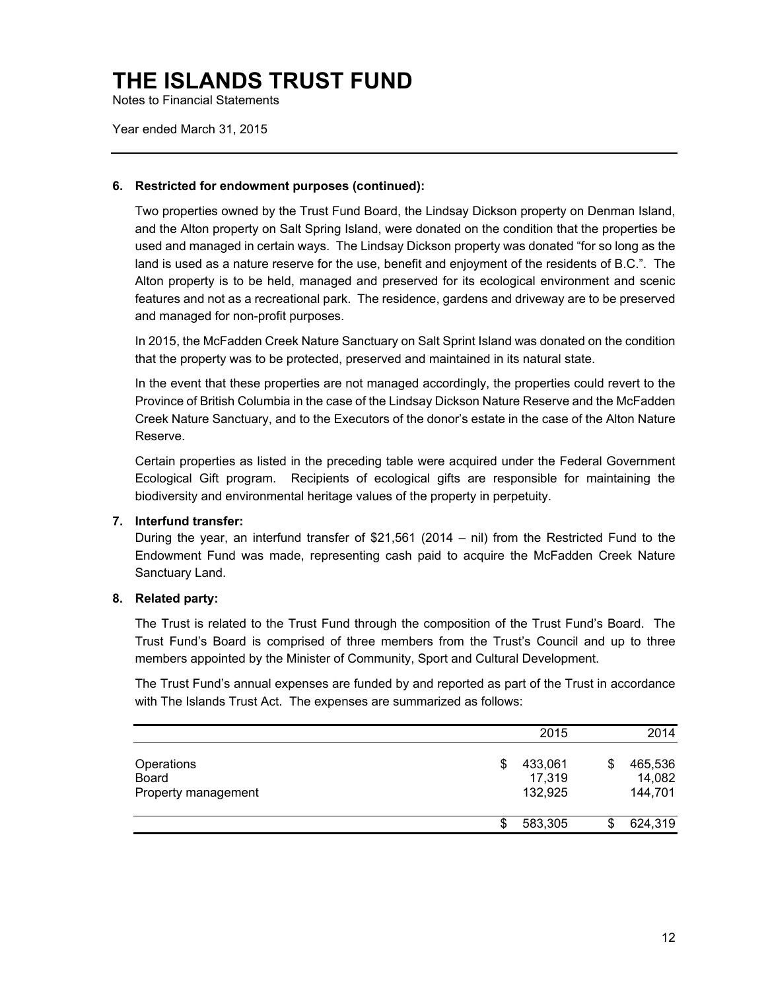Notes to Financial Statements

Year ended March 31, 2015

#### **6. Restricted for endowment purposes (continued):**

Two properties owned by the Trust Fund Board, the Lindsay Dickson property on Denman Island, and the Alton property on Salt Spring Island, were donated on the condition that the properties be used and managed in certain ways. The Lindsay Dickson property was donated "for so long as the land is used as a nature reserve for the use, benefit and enjoyment of the residents of B.C.". The Alton property is to be held, managed and preserved for its ecological environment and scenic features and not as a recreational park. The residence, gardens and driveway are to be preserved and managed for non-profit purposes.

In 2015, the McFadden Creek Nature Sanctuary on Salt Sprint Island was donated on the condition that the property was to be protected, preserved and maintained in its natural state.

In the event that these properties are not managed accordingly, the properties could revert to the Province of British Columbia in the case of the Lindsay Dickson Nature Reserve and the McFadden Creek Nature Sanctuary, and to the Executors of the donor's estate in the case of the Alton Nature Reserve.

Certain properties as listed in the preceding table were acquired under the Federal Government Ecological Gift program. Recipients of ecological gifts are responsible for maintaining the biodiversity and environmental heritage values of the property in perpetuity.

### **7. Interfund transfer:**

During the year, an interfund transfer of \$21,561 (2014 – nil) from the Restricted Fund to the Endowment Fund was made, representing cash paid to acquire the McFadden Creek Nature Sanctuary Land.

### **8. Related party:**

The Trust is related to the Trust Fund through the composition of the Trust Fund's Board. The Trust Fund's Board is comprised of three members from the Trust's Council and up to three members appointed by the Minister of Community, Sport and Cultural Development.

The Trust Fund's annual expenses are funded by and reported as part of the Trust in accordance with The Islands Trust Act. The expenses are summarized as follows:

|                                            |    | 2015                         | 2014                               |
|--------------------------------------------|----|------------------------------|------------------------------------|
| Operations<br>Board<br>Property management | \$ | 433,061<br>17,319<br>132,925 | \$<br>465,536<br>14,082<br>144,701 |
|                                            | S  | 583,305                      | 624,319                            |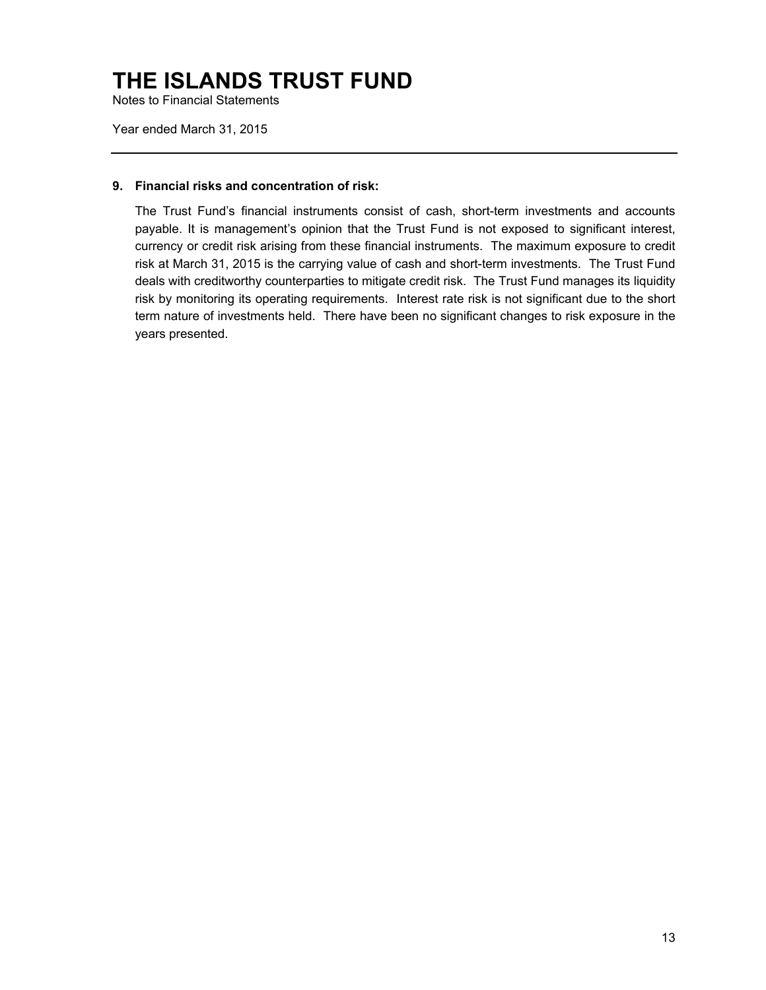Notes to Financial Statements

Year ended March 31, 2015

#### **9. Financial risks and concentration of risk:**

The Trust Fund's financial instruments consist of cash, short-term investments and accounts payable. It is management's opinion that the Trust Fund is not exposed to significant interest, currency or credit risk arising from these financial instruments. The maximum exposure to credit risk at March 31, 2015 is the carrying value of cash and short-term investments. The Trust Fund deals with creditworthy counterparties to mitigate credit risk. The Trust Fund manages its liquidity risk by monitoring its operating requirements. Interest rate risk is not significant due to the short term nature of investments held. There have been no significant changes to risk exposure in the years presented.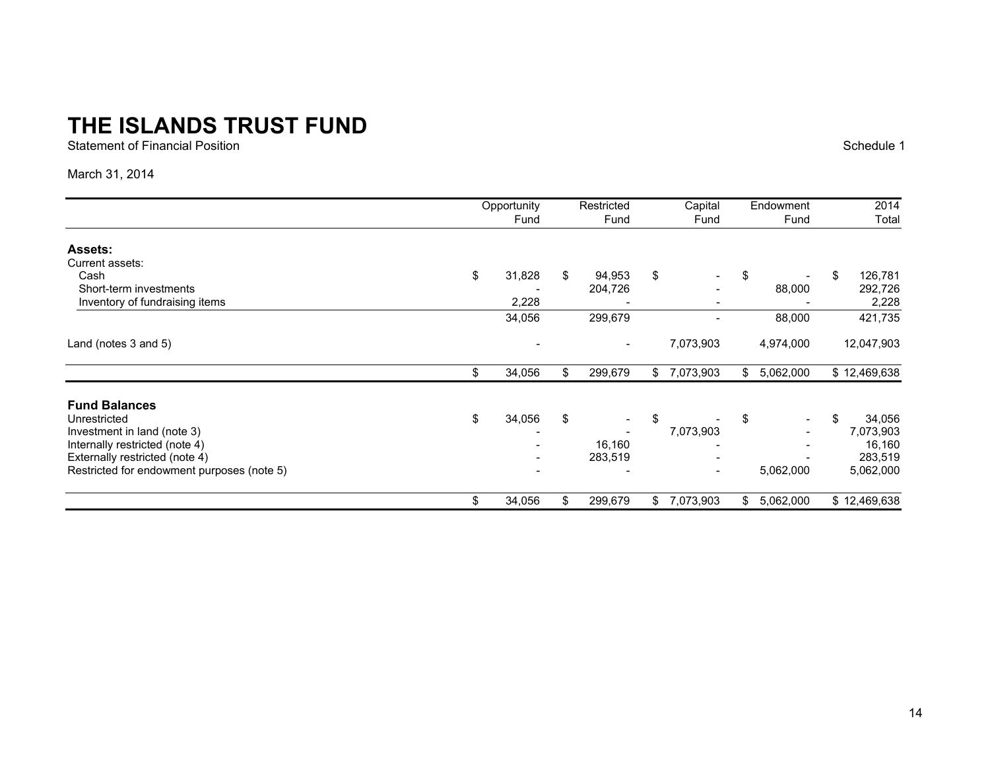Statement of Financial Position

Schedule 1

### March 31, 2014

|                                            | Opportunity  |    | Restricted               |    | Capital                  |    | Endowment |    | 2014         |  |
|--------------------------------------------|--------------|----|--------------------------|----|--------------------------|----|-----------|----|--------------|--|
|                                            | Fund         |    | Fund                     |    | Fund                     |    | Fund      |    | Total        |  |
| <b>Assets:</b>                             |              |    |                          |    |                          |    |           |    |              |  |
| Current assets:                            |              |    |                          |    |                          |    |           |    |              |  |
| Cash                                       | \$<br>31,828 | \$ | 94,953                   | \$ | $\overline{\phantom{a}}$ | \$ |           | \$ | 126,781      |  |
| Short-term investments                     |              |    | 204,726                  |    |                          |    | 88,000    |    | 292,726      |  |
| Inventory of fundraising items             | 2,228        |    |                          |    |                          |    |           |    | 2,228        |  |
|                                            | 34,056       |    | 299,679                  |    | $\blacksquare$           |    | 88,000    |    | 421,735      |  |
| Land (notes 3 and 5)                       |              |    | $\overline{\phantom{a}}$ |    | 7,073,903                |    | 4,974,000 |    | 12,047,903   |  |
|                                            | \$<br>34,056 | \$ | 299,679                  | \$ | 7,073,903                | \$ | 5,062,000 |    | \$12,469,638 |  |
| <b>Fund Balances</b>                       |              |    |                          |    |                          |    |           |    |              |  |
| Unrestricted                               | \$<br>34,056 | \$ |                          | \$ |                          | \$ |           | \$ | 34,056       |  |
| Investment in land (note 3)                |              |    |                          |    | 7,073,903                |    |           |    | 7,073,903    |  |
| Internally restricted (note 4)             |              |    | 16,160                   |    |                          |    |           |    | 16,160       |  |
| Externally restricted (note 4)             |              |    | 283,519                  |    |                          |    |           |    | 283,519      |  |
| Restricted for endowment purposes (note 5) |              |    |                          |    | $\overline{\phantom{0}}$ |    | 5,062,000 |    | 5,062,000    |  |
|                                            | \$<br>34,056 | \$ | 299,679                  | \$ | 7,073,903                | \$ | 5,062,000 |    | \$12,469,638 |  |